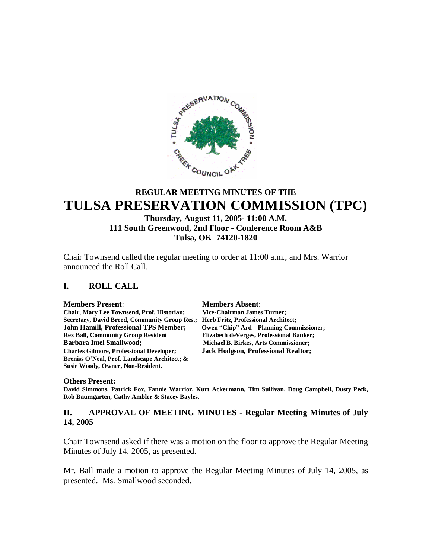

# **REGULAR MEETING MINUTES OF THE TULSA PRESERVATION COMMISSION (TPC)**

# **Thursday, August 11, 2005- 11:00 A.M. 111 South Greenwood, 2nd Floor - Conference Room A&B Tulsa, OK 74120-1820**

Chair Townsend called the regular meeting to order at 11:00 a.m., and Mrs. Warrior announced the Roll Call.

#### **I. ROLL CALL**

#### **Members Present**: **Members Absent**:

**Chair, Mary Lee Townsend, Prof. Historian; Vice-Chairman James Turner; Secretary, David Breed, Community Group Res.; Herb Fritz, Professional Architect; John Hamill, Professional TPS Member; Owen "Chip" Ard – Planning Commissioner; Rex Ball, Community Group Resident Elizabeth deVerges, Professional Banker; Barbara Imel Smallwood; Michael B. Birkes, Arts Commissioner; Charles Gilmore, Professional Developer; Jack Hodgson, Professional Realtor; Breniss O'Neal, Prof. Landscape Architect; & Susie Woody, Owner, Non-Resident.**

#### **Others Present:**

**David Simmons, Patrick Fox, Fannie Warrior, Kurt Ackermann, Tim Sullivan, Doug Campbell, Dusty Peck, Rob Baumgarten, Cathy Ambler & Stacey Bayles.**

#### **II. APPROVAL OF MEETING MINUTES - Regular Meeting Minutes of July 14, 2005**

Chair Townsend asked if there was a motion on the floor to approve the Regular Meeting Minutes of July 14, 2005, as presented.

Mr. Ball made a motion to approve the Regular Meeting Minutes of July 14, 2005, as presented. Ms. Smallwood seconded.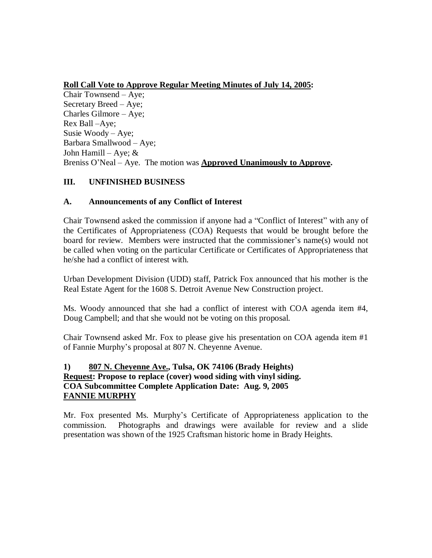# **Roll Call Vote to Approve Regular Meeting Minutes of July 14, 2005:**

Chair Townsend – Aye; Secretary Breed – Aye; Charles Gilmore – Aye; Rex Ball –Aye; Susie Woody – Aye; Barbara Smallwood – Aye; John Hamill – Aye;  $&$ Breniss O'Neal – Aye. The motion was **Approved Unanimously to Approve.**

# **III. UNFINISHED BUSINESS**

# **A. Announcements of any Conflict of Interest**

Chair Townsend asked the commission if anyone had a "Conflict of Interest" with any of the Certificates of Appropriateness (COA) Requests that would be brought before the board for review. Members were instructed that the commissioner's name(s) would not be called when voting on the particular Certificate or Certificates of Appropriateness that he/she had a conflict of interest with.

Urban Development Division (UDD) staff, Patrick Fox announced that his mother is the Real Estate Agent for the 1608 S. Detroit Avenue New Construction project.

Ms. Woody announced that she had a conflict of interest with COA agenda item #4, Doug Campbell; and that she would not be voting on this proposal.

Chair Townsend asked Mr. Fox to please give his presentation on COA agenda item #1 of Fannie Murphy's proposal at 807 N. Cheyenne Avenue.

# **1) 807 N. Cheyenne Ave., Tulsa, OK 74106 (Brady Heights) Request: Propose to replace (cover) wood siding with vinyl siding. COA Subcommittee Complete Application Date: Aug. 9, 2005 FANNIE MURPHY**

Mr. Fox presented Ms. Murphy's Certificate of Appropriateness application to the commission. Photographs and drawings were available for review and a slide presentation was shown of the 1925 Craftsman historic home in Brady Heights.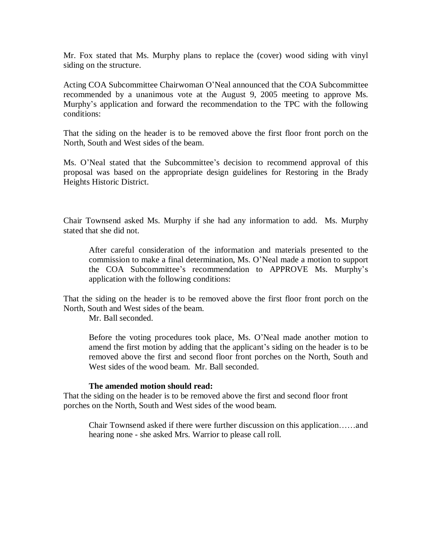Mr. Fox stated that Ms. Murphy plans to replace the (cover) wood siding with vinyl siding on the structure.

Acting COA Subcommittee Chairwoman O'Neal announced that the COA Subcommittee recommended by a unanimous vote at the August 9, 2005 meeting to approve Ms. Murphy's application and forward the recommendation to the TPC with the following conditions:

That the siding on the header is to be removed above the first floor front porch on the North, South and West sides of the beam.

Ms. O'Neal stated that the Subcommittee's decision to recommend approval of this proposal was based on the appropriate design guidelines for Restoring in the Brady Heights Historic District.

Chair Townsend asked Ms. Murphy if she had any information to add. Ms. Murphy stated that she did not.

After careful consideration of the information and materials presented to the commission to make a final determination, Ms. O'Neal made a motion to support the COA Subcommittee's recommendation to APPROVE Ms. Murphy's application with the following conditions:

That the siding on the header is to be removed above the first floor front porch on the North, South and West sides of the beam.

Mr. Ball seconded.

Before the voting procedures took place, Ms. O'Neal made another motion to amend the first motion by adding that the applicant's siding on the header is to be removed above the first and second floor front porches on the North, South and West sides of the wood beam. Mr. Ball seconded.

#### **The amended motion should read:**

That the siding on the header is to be removed above the first and second floor front porches on the North, South and West sides of the wood beam.

Chair Townsend asked if there were further discussion on this application……and hearing none - she asked Mrs. Warrior to please call roll.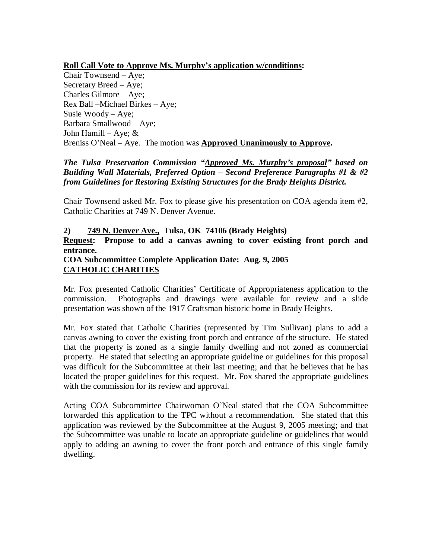**Roll Call Vote to Approve Ms. Murphy's application w/conditions:**

Chair Townsend – Aye; Secretary Breed – Aye; Charles Gilmore – Aye; Rex Ball –Michael Birkes – Aye; Susie Woody – Aye; Barbara Smallwood – Aye; John Hamill – Aye;  $&$ Breniss O'Neal – Aye. The motion was **Approved Unanimously to Approve.**

# *The Tulsa Preservation Commission "Approved Ms. Murphy's proposal" based on Building Wall Materials, Preferred Option – Second Preference Paragraphs #1 & #2 from Guidelines for Restoring Existing Structures for the Brady Heights District.*

Chair Townsend asked Mr. Fox to please give his presentation on COA agenda item #2, Catholic Charities at 749 N. Denver Avenue.

# **2) 749 N. Denver Ave., Tulsa, OK 74106 (Brady Heights)**

**Request: Propose to add a canvas awning to cover existing front porch and entrance.**

# **COA Subcommittee Complete Application Date: Aug. 9, 2005 CATHOLIC CHARITIES**

Mr. Fox presented Catholic Charities' Certificate of Appropriateness application to the commission. Photographs and drawings were available for review and a slide presentation was shown of the 1917 Craftsman historic home in Brady Heights.

Mr. Fox stated that Catholic Charities (represented by Tim Sullivan) plans to add a canvas awning to cover the existing front porch and entrance of the structure. He stated that the property is zoned as a single family dwelling and not zoned as commercial property. He stated that selecting an appropriate guideline or guidelines for this proposal was difficult for the Subcommittee at their last meeting; and that he believes that he has located the proper guidelines for this request. Mr. Fox shared the appropriate guidelines with the commission for its review and approval.

Acting COA Subcommittee Chairwoman O'Neal stated that the COA Subcommittee forwarded this application to the TPC without a recommendation. She stated that this application was reviewed by the Subcommittee at the August 9, 2005 meeting; and that the Subcommittee was unable to locate an appropriate guideline or guidelines that would apply to adding an awning to cover the front porch and entrance of this single family dwelling.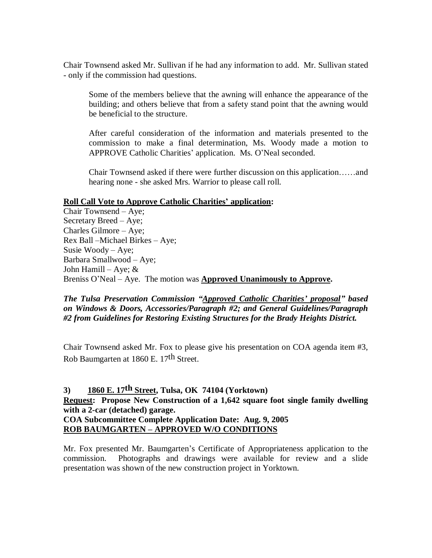Chair Townsend asked Mr. Sullivan if he had any information to add. Mr. Sullivan stated - only if the commission had questions.

Some of the members believe that the awning will enhance the appearance of the building; and others believe that from a safety stand point that the awning would be beneficial to the structure.

After careful consideration of the information and materials presented to the commission to make a final determination, Ms. Woody made a motion to APPROVE Catholic Charities' application. Ms. O'Neal seconded.

Chair Townsend asked if there were further discussion on this application……and hearing none - she asked Mrs. Warrior to please call roll.

#### **Roll Call Vote to Approve Catholic Charities' application:**

Chair Townsend – Aye; Secretary Breed – Aye; Charles Gilmore – Aye; Rex Ball –Michael Birkes – Aye; Susie Woody – Aye; Barbara Smallwood – Aye; John Hamill – Aye; & Breniss O'Neal – Aye. The motion was **Approved Unanimously to Approve.**

*The Tulsa Preservation Commission "Approved Catholic Charities' proposal" based on Windows & Doors, Accessories/Paragraph #2; and General Guidelines/Paragraph #2 from Guidelines for Restoring Existing Structures for the Brady Heights District.*

Chair Townsend asked Mr. Fox to please give his presentation on COA agenda item #3, Rob Baumgarten at 1860 E. 17th Street.

# **3) 1860 E. 17th Street, Tulsa, OK 74104 (Yorktown) Request: Propose New Construction of a 1,642 square foot single family dwelling with a 2-car (detached) garage. COA Subcommittee Complete Application Date: Aug. 9, 2005 ROB BAUMGARTEN – APPROVED W/O CONDITIONS**

Mr. Fox presented Mr. Baumgarten's Certificate of Appropriateness application to the commission. Photographs and drawings were available for review and a slide presentation was shown of the new construction project in Yorktown.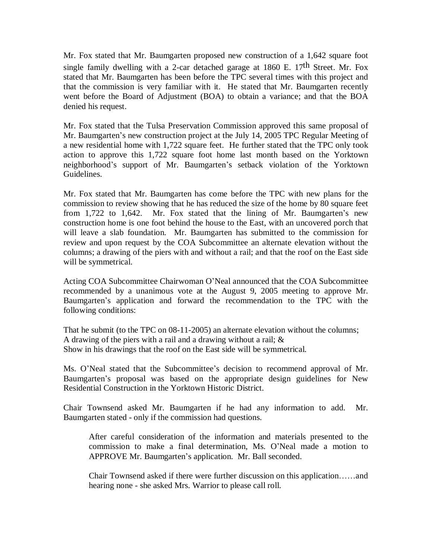Mr. Fox stated that Mr. Baumgarten proposed new construction of a 1,642 square foot single family dwelling with a 2-car detached garage at  $1860$  E.  $17<sup>th</sup>$  Street. Mr. Fox stated that Mr. Baumgarten has been before the TPC several times with this project and that the commission is very familiar with it. He stated that Mr. Baumgarten recently went before the Board of Adjustment (BOA) to obtain a variance; and that the BOA denied his request.

Mr. Fox stated that the Tulsa Preservation Commission approved this same proposal of Mr. Baumgarten's new construction project at the July 14, 2005 TPC Regular Meeting of a new residential home with 1,722 square feet. He further stated that the TPC only took action to approve this 1,722 square foot home last month based on the Yorktown neighborhood's support of Mr. Baumgarten's setback violation of the Yorktown Guidelines.

Mr. Fox stated that Mr. Baumgarten has come before the TPC with new plans for the commission to review showing that he has reduced the size of the home by 80 square feet from 1,722 to 1,642. Mr. Fox stated that the lining of Mr. Baumgarten's new construction home is one foot behind the house to the East, with an uncovered porch that will leave a slab foundation. Mr. Baumgarten has submitted to the commission for review and upon request by the COA Subcommittee an alternate elevation without the columns; a drawing of the piers with and without a rail; and that the roof on the East side will be symmetrical.

Acting COA Subcommittee Chairwoman O'Neal announced that the COA Subcommittee recommended by a unanimous vote at the August 9, 2005 meeting to approve Mr. Baumgarten's application and forward the recommendation to the TPC with the following conditions:

That he submit (to the TPC on 08-11-2005) an alternate elevation without the columns; A drawing of the piers with a rail and a drawing without a rail; & Show in his drawings that the roof on the East side will be symmetrical.

Ms. O'Neal stated that the Subcommittee's decision to recommend approval of Mr. Baumgarten's proposal was based on the appropriate design guidelines for New Residential Construction in the Yorktown Historic District.

Chair Townsend asked Mr. Baumgarten if he had any information to add. Mr. Baumgarten stated - only if the commission had questions.

After careful consideration of the information and materials presented to the commission to make a final determination, Ms. O'Neal made a motion to APPROVE Mr. Baumgarten's application. Mr. Ball seconded.

Chair Townsend asked if there were further discussion on this application……and hearing none - she asked Mrs. Warrior to please call roll.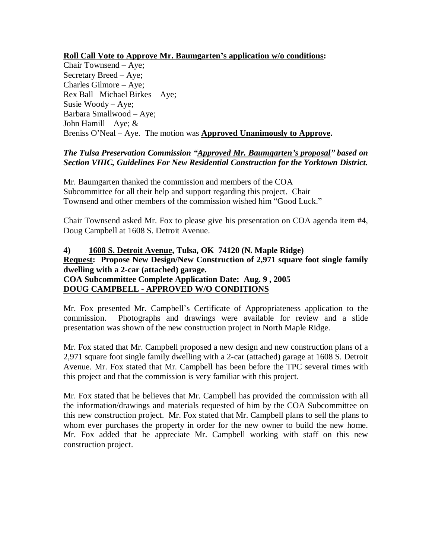# **Roll Call Vote to Approve Mr. Baumgarten's application w/o conditions:**

Chair Townsend – Aye; Secretary Breed – Aye; Charles Gilmore – Aye; Rex Ball –Michael Birkes – Aye; Susie Woody – Aye; Barbara Smallwood – Aye; John Hamill – Aye;  $&$ Breniss O'Neal – Aye. The motion was **Approved Unanimously to Approve.**

# *The Tulsa Preservation Commission "Approved Mr. Baumgarten's proposal" based on Section VIIIC, Guidelines For New Residential Construction for the Yorktown District.*

Mr. Baumgarten thanked the commission and members of the COA Subcommittee for all their help and support regarding this project. Chair Townsend and other members of the commission wished him "Good Luck."

Chair Townsend asked Mr. Fox to please give his presentation on COA agenda item #4, Doug Campbell at 1608 S. Detroit Avenue.

# **4) 1608 S. Detroit Avenue, Tulsa, OK 74120 (N. Maple Ridge) Request: Propose New Design/New Construction of 2,971 square foot single family dwelling with a 2-car (attached) garage. COA Subcommittee Complete Application Date: Aug. 9 , 2005 DOUG CAMPBELL - APPROVED W/O CONDITIONS**

Mr. Fox presented Mr. Campbell's Certificate of Appropriateness application to the commission. Photographs and drawings were available for review and a slide presentation was shown of the new construction project in North Maple Ridge.

Mr. Fox stated that Mr. Campbell proposed a new design and new construction plans of a 2,971 square foot single family dwelling with a 2-car (attached) garage at 1608 S. Detroit Avenue. Mr. Fox stated that Mr. Campbell has been before the TPC several times with this project and that the commission is very familiar with this project.

Mr. Fox stated that he believes that Mr. Campbell has provided the commission with all the information/drawings and materials requested of him by the COA Subcommittee on this new construction project. Mr. Fox stated that Mr. Campbell plans to sell the plans to whom ever purchases the property in order for the new owner to build the new home. Mr. Fox added that he appreciate Mr. Campbell working with staff on this new construction project.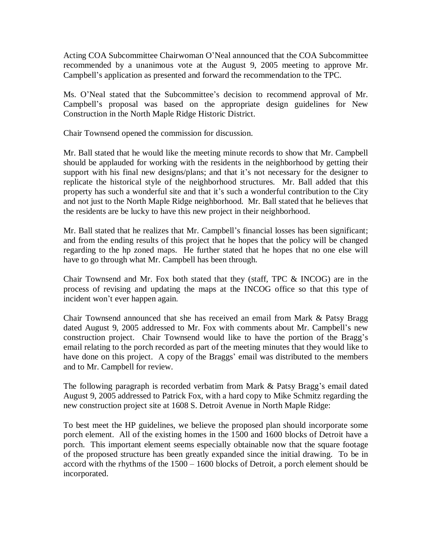Acting COA Subcommittee Chairwoman O'Neal announced that the COA Subcommittee recommended by a unanimous vote at the August 9, 2005 meeting to approve Mr. Campbell's application as presented and forward the recommendation to the TPC.

Ms. O'Neal stated that the Subcommittee's decision to recommend approval of Mr. Campbell's proposal was based on the appropriate design guidelines for New Construction in the North Maple Ridge Historic District.

Chair Townsend opened the commission for discussion.

Mr. Ball stated that he would like the meeting minute records to show that Mr. Campbell should be applauded for working with the residents in the neighborhood by getting their support with his final new designs/plans; and that it's not necessary for the designer to replicate the historical style of the neighborhood structures. Mr. Ball added that this property has such a wonderful site and that it's such a wonderful contribution to the City and not just to the North Maple Ridge neighborhood. Mr. Ball stated that he believes that the residents are be lucky to have this new project in their neighborhood.

Mr. Ball stated that he realizes that Mr. Campbell's financial losses has been significant; and from the ending results of this project that he hopes that the policy will be changed regarding to the hp zoned maps. He further stated that he hopes that no one else will have to go through what Mr. Campbell has been through.

Chair Townsend and Mr. Fox both stated that they (staff, TPC & INCOG) are in the process of revising and updating the maps at the INCOG office so that this type of incident won't ever happen again.

Chair Townsend announced that she has received an email from Mark & Patsy Bragg dated August 9, 2005 addressed to Mr. Fox with comments about Mr. Campbell's new construction project. Chair Townsend would like to have the portion of the Bragg's email relating to the porch recorded as part of the meeting minutes that they would like to have done on this project. A copy of the Braggs' email was distributed to the members and to Mr. Campbell for review.

The following paragraph is recorded verbatim from Mark & Patsy Bragg's email dated August 9, 2005 addressed to Patrick Fox, with a hard copy to Mike Schmitz regarding the new construction project site at 1608 S. Detroit Avenue in North Maple Ridge:

To best meet the HP guidelines, we believe the proposed plan should incorporate some porch element. All of the existing homes in the 1500 and 1600 blocks of Detroit have a porch. This important element seems especially obtainable now that the square footage of the proposed structure has been greatly expanded since the initial drawing. To be in accord with the rhythms of the 1500 – 1600 blocks of Detroit, a porch element should be incorporated.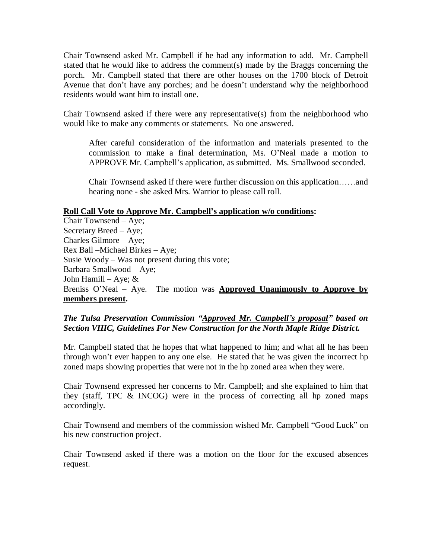Chair Townsend asked Mr. Campbell if he had any information to add. Mr. Campbell stated that he would like to address the comment(s) made by the Braggs concerning the porch. Mr. Campbell stated that there are other houses on the 1700 block of Detroit Avenue that don't have any porches; and he doesn't understand why the neighborhood residents would want him to install one.

Chair Townsend asked if there were any representative(s) from the neighborhood who would like to make any comments or statements. No one answered.

After careful consideration of the information and materials presented to the commission to make a final determination, Ms. O'Neal made a motion to APPROVE Mr. Campbell's application, as submitted. Ms. Smallwood seconded.

Chair Townsend asked if there were further discussion on this application……and hearing none - she asked Mrs. Warrior to please call roll.

#### **Roll Call Vote to Approve Mr. Campbell's application w/o conditions:**

Chair Townsend – Aye; Secretary Breed – Aye; Charles Gilmore – Aye; Rex Ball –Michael Birkes – Aye; Susie Woody – Was not present during this vote; Barbara Smallwood – Aye; John Hamill – Aye;  $&$ Breniss O'Neal – Aye. The motion was **Approved Unanimously to Approve by members present.**

# *The Tulsa Preservation Commission "Approved Mr. Campbell's proposal" based on Section VIIIC, Guidelines For New Construction for the North Maple Ridge District.*

Mr. Campbell stated that he hopes that what happened to him; and what all he has been through won't ever happen to any one else. He stated that he was given the incorrect hp zoned maps showing properties that were not in the hp zoned area when they were.

Chair Townsend expressed her concerns to Mr. Campbell; and she explained to him that they (staff, TPC & INCOG) were in the process of correcting all hp zoned maps accordingly.

Chair Townsend and members of the commission wished Mr. Campbell "Good Luck" on his new construction project.

Chair Townsend asked if there was a motion on the floor for the excused absences request.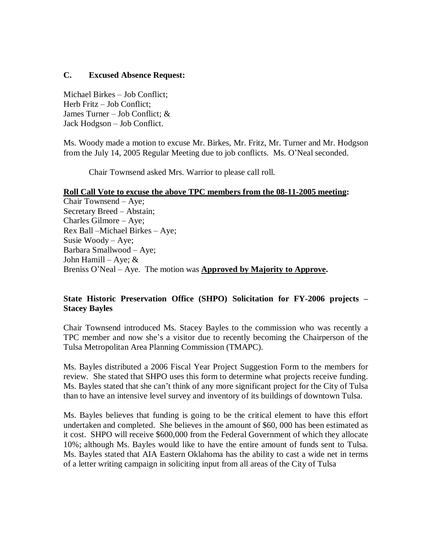## **C. Excused Absence Request:**

Michael Birkes – Job Conflict; Herb Fritz – Job Conflict; James Turner – Job Conflict; & Jack Hodgson – Job Conflict.

Ms. Woody made a motion to excuse Mr. Birkes, Mr. Fritz, Mr. Turner and Mr. Hodgson from the July 14, 2005 Regular Meeting due to job conflicts. Ms. O'Neal seconded.

Chair Townsend asked Mrs. Warrior to please call roll.

#### **Roll Call Vote to excuse the above TPC members from the 08-11-2005 meeting:**

Chair Townsend – Aye; Secretary Breed –Abstain; Charles Gilmore – Aye; Rex Ball –Michael Birkes – Aye; Susie Woody – Aye; Barbara Smallwood – Aye; John Hamill – Aye;  $&$ Breniss O'Neal – Aye. The motion was **Approved by Majority to Approve.**

# **State Historic Preservation Office (SHPO) Solicitation for FY-2006 projects – Stacey Bayles**

Chair Townsend introduced Ms. Stacey Bayles to the commission who was recently a TPC member and now she's a visitor due to recently becoming the Chairperson of the Tulsa Metropolitan Area Planning Commission (TMAPC).

Ms. Bayles distributed a 2006 Fiscal Year Project Suggestion Form to the members for review. She stated that SHPO uses this form to determine what projects receive funding. Ms. Bayles stated that she can't think of any more significant project for the City of Tulsa than to have an intensive level survey and inventory of its buildings of downtown Tulsa.

Ms. Bayles believes that funding is going to be the critical element to have this effort undertaken and completed. She believes in the amount of \$60, 000 has been estimated as it cost. SHPO will receive \$600,000 from the Federal Government of which they allocate 10%; although Ms. Bayles would like to have the entire amount of funds sent to Tulsa. Ms. Bayles stated that AIA Eastern Oklahoma has the ability to cast a wide net in terms of a letter writing campaign in soliciting input from all areas of the City of Tulsa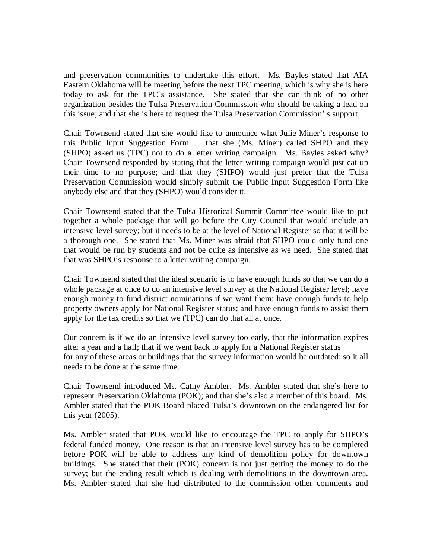and preservation communities to undertake this effort. Ms. Bayles stated that AIA Eastern Oklahoma will be meeting before the next TPC meeting, which is why she is here today to ask for the TPC's assistance. She stated that she can think of no other organization besides the Tulsa Preservation Commission who should be taking a lead on this issue; and that she is here to request the Tulsa Preservation Commission' s support.

Chair Townsend stated that she would like to announce what Julie Miner's response to this Public Input Suggestion Form……that she (Ms. Miner) called SHPO and they (SHPO) asked us (TPC) not to do a letter writing campaign. Ms. Bayles asked why? Chair Townsend responded by stating that the letter writing campaign would just eat up their time to no purpose; and that they (SHPO) would just prefer that the Tulsa Preservation Commission would simply submit the Public Input Suggestion Form like anybody else and that they (SHPO) would consider it.

Chair Townsend stated that the Tulsa Historical Summit Committee would like to put together a whole package that will go before the City Council that would include an intensive level survey; but it needs to be at the level of National Register so that it will be a thorough one. She stated that Ms. Miner was afraid that SHPO could only fund one that would be run by students and not be quite as intensive as we need. She stated that that was SHPO's response to a letter writing campaign.

Chair Townsend stated that the ideal scenario is to have enough funds so that we can do a whole package at once to do an intensive level survey at the National Register level; have enough money to fund district nominations if we want them; have enough funds to help property owners apply for National Register status; and have enough funds to assist them apply for the tax credits so that we (TPC) can do that all at once.

Our concern is if we do an intensive level survey too early, that the information expires after a year and a half; that if we went back to apply for a National Register status for any of these areas or buildings that the survey information would be outdated; so it all needs to be done at the same time.

Chair Townsend introduced Ms. Cathy Ambler. Ms. Ambler stated that she's here to represent Preservation Oklahoma (POK); and that she's also a member of this board. Ms. Ambler stated that the POK Board placed Tulsa's downtown on the endangered list for this year (2005).

Ms. Ambler stated that POK would like to encourage the TPC to apply for SHPO's federal funded money. One reason is that an intensive level survey has to be completed before POK will be able to address any kind of demolition policy for downtown buildings. She stated that their (POK) concern is not just getting the money to do the survey; but the ending result which is dealing with demolitions in the downtown area. Ms. Ambler stated that she had distributed to the commission other comments and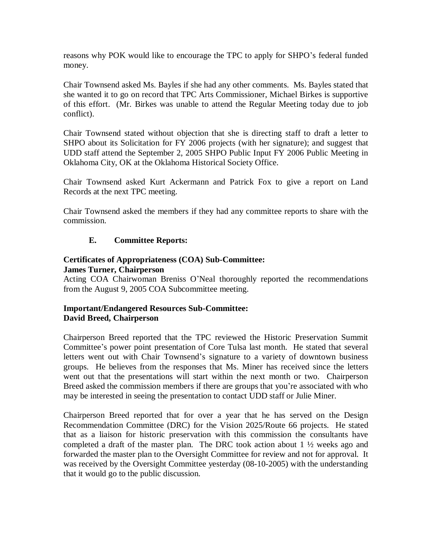reasons why POK would like to encourage the TPC to apply for SHPO's federal funded money.

Chair Townsend asked Ms. Bayles if she had any other comments. Ms. Bayles stated that she wanted it to go on record that TPC Arts Commissioner, Michael Birkes is supportive of this effort. (Mr. Birkes was unable to attend the Regular Meeting today due to job conflict).

Chair Townsend stated without objection that she is directing staff to draft a letter to SHPO about its Solicitation for FY 2006 projects (with her signature); and suggest that UDD staff attend the September 2, 2005 SHPO Public Input FY 2006 Public Meeting in Oklahoma City, OK at the Oklahoma Historical Society Office.

Chair Townsend asked Kurt Ackermann and Patrick Fox to give a report on Land Records at the next TPC meeting.

Chair Townsend asked the members if they had any committee reports to share with the commission.

# **E. Committee Reports:**

# **Certificates of Appropriateness (COA) Sub-Committee:**

**James Turner, Chairperson**

Acting COA Chairwoman Breniss O'Neal thoroughly reported the recommendations from the August 9, 2005 COA Subcommittee meeting.

# **Important/Endangered Resources Sub-Committee: David Breed, Chairperson**

Chairperson Breed reported that the TPC reviewed the Historic Preservation Summit Committee's power point presentation of Core Tulsa last month. He stated that several letters went out with Chair Townsend's signature to a variety of downtown business groups. He believes from the responses that Ms. Miner has received since the letters went out that the presentations will start within the next month or two. Chairperson Breed asked the commission members if there are groups that you're associated with who may be interested in seeing the presentation to contact UDD staff or Julie Miner.

Chairperson Breed reported that for over a year that he has served on the Design Recommendation Committee (DRC) for the Vision 2025/Route 66 projects. He stated that as a liaison for historic preservation with this commission the consultants have completed a draft of the master plan. The DRC took action about  $1 \frac{1}{2}$  weeks ago and forwarded the master plan to the Oversight Committee for review and not for approval. It was received by the Oversight Committee yesterday (08-10-2005) with the understanding that it would go to the public discussion.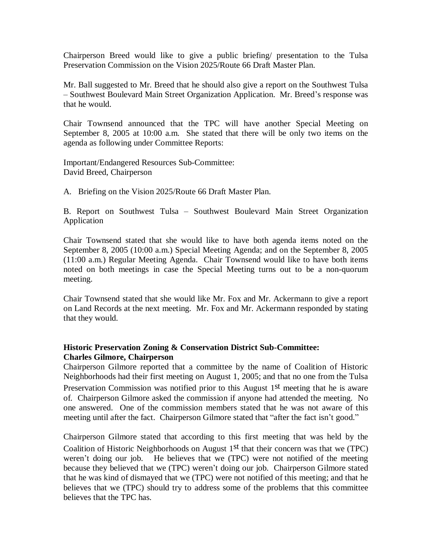Chairperson Breed would like to give a public briefing/ presentation to the Tulsa Preservation Commission on the Vision 2025/Route 66 Draft Master Plan.

Mr. Ball suggested to Mr. Breed that he should also give a report on the Southwest Tulsa – Southwest Boulevard Main Street Organization Application. Mr. Breed's response was that he would.

Chair Townsend announced that the TPC will have another Special Meeting on September 8, 2005 at 10:00 a.m. She stated that there will be only two items on the agenda as following under Committee Reports:

Important/Endangered Resources Sub-Committee: David Breed, Chairperson

A. Briefing on the Vision 2025/Route 66 Draft Master Plan.

B. Report on Southwest Tulsa – Southwest Boulevard Main Street Organization Application

Chair Townsend stated that she would like to have both agenda items noted on the September 8, 2005 (10:00 a.m.) Special Meeting Agenda; and on the September 8, 2005 (11:00 a.m.) Regular Meeting Agenda. Chair Townsend would like to have both items noted on both meetings in case the Special Meeting turns out to be a non-quorum meeting.

Chair Townsend stated that she would like Mr. Fox and Mr. Ackermann to give a report on Land Records at the next meeting. Mr. Fox and Mr. Ackermann responded by stating that they would.

# **Historic Preservation Zoning & Conservation District Sub-Committee: Charles Gilmore, Chairperson**

Chairperson Gilmore reported that a committee by the name of Coalition of Historic Neighborhoods had their first meeting on August 1, 2005; and that no one from the Tulsa Preservation Commission was notified prior to this August 1<sup>st</sup> meeting that he is aware of. Chairperson Gilmore asked the commission if anyone had attended the meeting. No one answered. One of the commission members stated that he was not aware of this meeting until after the fact. Chairperson Gilmore stated that "after the fact isn't good."

Chairperson Gilmore stated that according to this first meeting that was held by the Coalition of Historic Neighborhoods on August  $1<sup>st</sup>$  that their concern was that we (TPC) weren't doing our job. He believes that we (TPC) were not notified of the meeting because they believed that we (TPC) weren't doing our job. Chairperson Gilmore stated that he was kind of dismayed that we (TPC) were not notified of this meeting; and that he believes that we (TPC) should try to address some of the problems that this committee believes that the TPC has.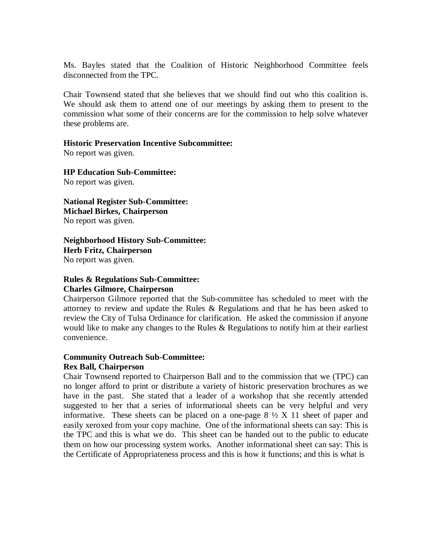Ms. Bayles stated that the Coalition of Historic Neighborhood Committee feels disconnected from the TPC.

Chair Townsend stated that she believes that we should find out who this coalition is. We should ask them to attend one of our meetings by asking them to present to the commission what some of their concerns are for the commission to help solve whatever these problems are.

#### **Historic Preservation Incentive Subcommittee:**

No report was given.

**HP Education Sub-Committee:** No report was given.

**National Register Sub-Committee: Michael Birkes, Chairperson** No report was given.

**Neighborhood History Sub-Committee: Herb Fritz, Chairperson** No report was given.

#### **Rules & Regulations Sub-Committee: Charles Gilmore, Chairperson**

Chairperson Gilmore reported that the Sub-committee has scheduled to meet with the attorney to review and update the Rules & Regulations and that he has been asked to review the City of Tulsa Ordinance for clarification. He asked the commission if anyone would like to make any changes to the Rules  $\&$  Regulations to notify him at their earliest convenience.

#### **Community Outreach Sub-Committee: Rex Ball, Chairperson**

Chair Townsend reported to Chairperson Ball and to the commission that we (TPC) can no longer afford to print or distribute a variety of historic preservation brochures as we have in the past. She stated that a leader of a workshop that she recently attended suggested to her that a series of informational sheets can be very helpful and very informative. These sheets can be placed on a one-page  $8\frac{1}{2}$  X 11 sheet of paper and easily xeroxed from your copy machine. One of the informational sheets can say: This is the TPC and this is what we do. This sheet can be handed out to the public to educate them on how our processing system works. Another informational sheet can say: This is the Certificate of Appropriateness process and this is how it functions; and this is what is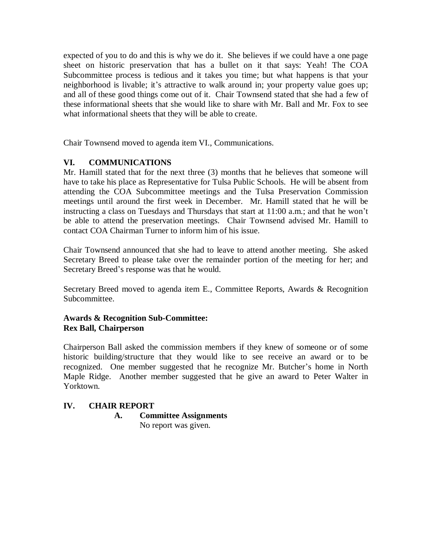expected of you to do and this is why we do it. She believes if we could have a one page sheet on historic preservation that has a bullet on it that says: Yeah! The COA Subcommittee process is tedious and it takes you time; but what happens is that your neighborhood is livable; it's attractive to walk around in; your property value goes up; and all of these good things come out of it. Chair Townsend stated that she had a few of these informational sheets that she would like to share with Mr. Ball and Mr. Fox to see what informational sheets that they will be able to create.

Chair Townsend moved to agenda item VI., Communications.

# **VI. COMMUNICATIONS**

Mr. Hamill stated that for the next three (3) months that he believes that someone will have to take his place as Representative for Tulsa Public Schools. He will be absent from attending the COA Subcommittee meetings and the Tulsa Preservation Commission meetings until around the first week in December. Mr. Hamill stated that he will be instructing a class on Tuesdays and Thursdays that start at 11:00 a.m.; and that he won't be able to attend the preservation meetings. Chair Townsend advised Mr. Hamill to contact COA Chairman Turner to inform him of his issue.

Chair Townsend announced that she had to leave to attend another meeting. She asked Secretary Breed to please take over the remainder portion of the meeting for her; and Secretary Breed's response was that he would.

Secretary Breed moved to agenda item E., Committee Reports, Awards & Recognition Subcommittee.

# **Awards & Recognition Sub-Committee: Rex Ball, Chairperson**

Chairperson Ball asked the commission members if they knew of someone or of some historic building/structure that they would like to see receive an award or to be recognized. One member suggested that he recognize Mr. Butcher's home in North Maple Ridge. Another member suggested that he give an award to Peter Walter in Yorktown.

# **IV. CHAIR REPORT**

**A. Committee Assignments**

No report was given.